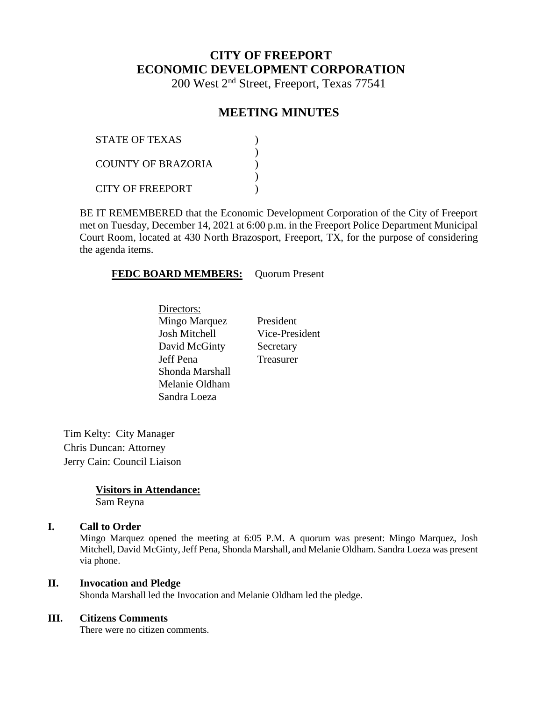# **CITY OF FREEPORT ECONOMIC DEVELOPMENT CORPORATION**

200 West 2nd Street, Freeport, Texas 77541

# **MEETING MINUTES**

| <b>STATE OF TEXAS</b>   |  |
|-------------------------|--|
| COUNTY OF BRAZORIA      |  |
| <b>CITY OF FREEPORT</b> |  |

BE IT REMEMBERED that the Economic Development Corporation of the City of Freeport met on Tuesday, December 14, 2021 at 6:00 p.m. in the Freeport Police Department Municipal Court Room, located at 430 North Brazosport, Freeport, TX, for the purpose of considering the agenda items.

#### **FEDC BOARD MEMBERS:** Quorum Present

Directors: Mingo Marquez President Josh Mitchell Vice-President David McGinty Secretary Jeff Pena Treasurer Shonda Marshall Melanie Oldham Sandra Loeza

Tim Kelty: City Manager Chris Duncan: Attorney Jerry Cain: Council Liaison

> **Visitors in Attendance:** Sam Reyna

#### **I. Call to Order**

Mingo Marquez opened the meeting at 6:05 P.M. A quorum was present: Mingo Marquez, Josh Mitchell, David McGinty, Jeff Pena, Shonda Marshall, and Melanie Oldham. Sandra Loeza was present via phone.

#### **II. Invocation and Pledge**

Shonda Marshall led the Invocation and Melanie Oldham led the pledge.

#### **III. Citizens Comments**

There were no citizen comments.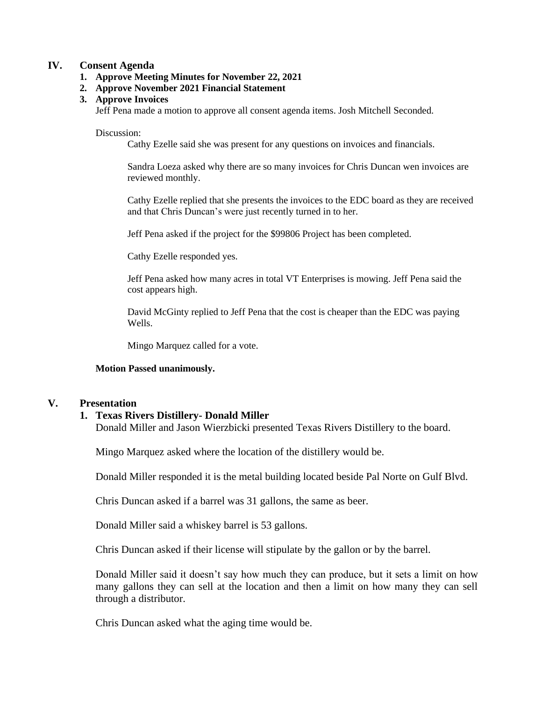#### **IV. Consent Agenda**

#### **1. Approve Meeting Minutes for November 22, 2021**

- **2. Approve November 2021 Financial Statement**
- **3. Approve Invoices**

Jeff Pena made a motion to approve all consent agenda items. Josh Mitchell Seconded.

#### Discussion:

Cathy Ezelle said she was present for any questions on invoices and financials.

Sandra Loeza asked why there are so many invoices for Chris Duncan wen invoices are reviewed monthly.

Cathy Ezelle replied that she presents the invoices to the EDC board as they are received and that Chris Duncan's were just recently turned in to her.

Jeff Pena asked if the project for the \$99806 Project has been completed.

Cathy Ezelle responded yes.

Jeff Pena asked how many acres in total VT Enterprises is mowing. Jeff Pena said the cost appears high.

David McGinty replied to Jeff Pena that the cost is cheaper than the EDC was paying Wells.

Mingo Marquez called for a vote.

#### **Motion Passed unanimously.**

#### **V. Presentation**

#### **1. Texas Rivers Distillery- Donald Miller**

Donald Miller and Jason Wierzbicki presented Texas Rivers Distillery to the board.

Mingo Marquez asked where the location of the distillery would be.

Donald Miller responded it is the metal building located beside Pal Norte on Gulf Blvd.

Chris Duncan asked if a barrel was 31 gallons, the same as beer.

Donald Miller said a whiskey barrel is 53 gallons.

Chris Duncan asked if their license will stipulate by the gallon or by the barrel.

Donald Miller said it doesn't say how much they can produce, but it sets a limit on how many gallons they can sell at the location and then a limit on how many they can sell through a distributor.

Chris Duncan asked what the aging time would be.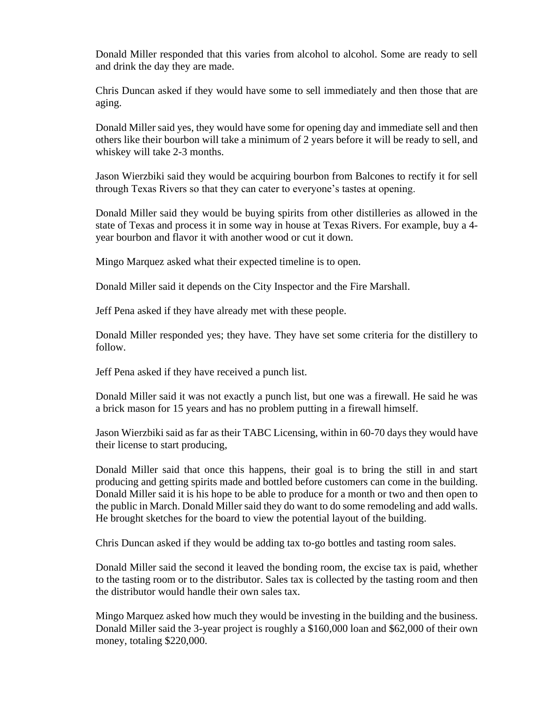Donald Miller responded that this varies from alcohol to alcohol. Some are ready to sell and drink the day they are made.

Chris Duncan asked if they would have some to sell immediately and then those that are aging.

Donald Miller said yes, they would have some for opening day and immediate sell and then others like their bourbon will take a minimum of 2 years before it will be ready to sell, and whiskey will take 2-3 months.

Jason Wierzbiki said they would be acquiring bourbon from Balcones to rectify it for sell through Texas Rivers so that they can cater to everyone's tastes at opening.

Donald Miller said they would be buying spirits from other distilleries as allowed in the state of Texas and process it in some way in house at Texas Rivers. For example, buy a 4 year bourbon and flavor it with another wood or cut it down.

Mingo Marquez asked what their expected timeline is to open.

Donald Miller said it depends on the City Inspector and the Fire Marshall.

Jeff Pena asked if they have already met with these people.

Donald Miller responded yes; they have. They have set some criteria for the distillery to follow.

Jeff Pena asked if they have received a punch list.

Donald Miller said it was not exactly a punch list, but one was a firewall. He said he was a brick mason for 15 years and has no problem putting in a firewall himself.

Jason Wierzbiki said as far as their TABC Licensing, within in 60-70 days they would have their license to start producing,

Donald Miller said that once this happens, their goal is to bring the still in and start producing and getting spirits made and bottled before customers can come in the building. Donald Miller said it is his hope to be able to produce for a month or two and then open to the public in March. Donald Miller said they do want to do some remodeling and add walls. He brought sketches for the board to view the potential layout of the building.

Chris Duncan asked if they would be adding tax to-go bottles and tasting room sales.

Donald Miller said the second it leaved the bonding room, the excise tax is paid, whether to the tasting room or to the distributor. Sales tax is collected by the tasting room and then the distributor would handle their own sales tax.

Mingo Marquez asked how much they would be investing in the building and the business. Donald Miller said the 3-year project is roughly a \$160,000 loan and \$62,000 of their own money, totaling \$220,000.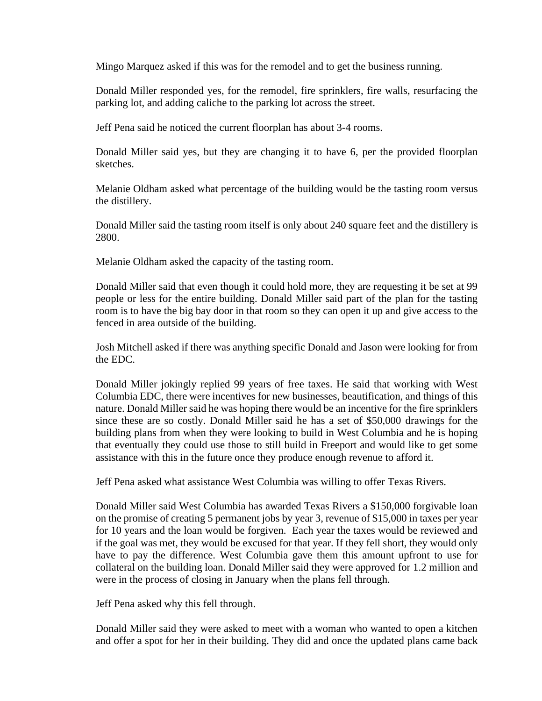Mingo Marquez asked if this was for the remodel and to get the business running.

Donald Miller responded yes, for the remodel, fire sprinklers, fire walls, resurfacing the parking lot, and adding caliche to the parking lot across the street.

Jeff Pena said he noticed the current floorplan has about 3-4 rooms.

Donald Miller said yes, but they are changing it to have 6, per the provided floorplan sketches.

Melanie Oldham asked what percentage of the building would be the tasting room versus the distillery.

Donald Miller said the tasting room itself is only about 240 square feet and the distillery is 2800.

Melanie Oldham asked the capacity of the tasting room.

Donald Miller said that even though it could hold more, they are requesting it be set at 99 people or less for the entire building. Donald Miller said part of the plan for the tasting room is to have the big bay door in that room so they can open it up and give access to the fenced in area outside of the building.

Josh Mitchell asked if there was anything specific Donald and Jason were looking for from the EDC.

Donald Miller jokingly replied 99 years of free taxes. He said that working with West Columbia EDC, there were incentives for new businesses, beautification, and things of this nature. Donald Miller said he was hoping there would be an incentive for the fire sprinklers since these are so costly. Donald Miller said he has a set of \$50,000 drawings for the building plans from when they were looking to build in West Columbia and he is hoping that eventually they could use those to still build in Freeport and would like to get some assistance with this in the future once they produce enough revenue to afford it.

Jeff Pena asked what assistance West Columbia was willing to offer Texas Rivers.

Donald Miller said West Columbia has awarded Texas Rivers a \$150,000 forgivable loan on the promise of creating 5 permanent jobs by year 3, revenue of \$15,000 in taxes per year for 10 years and the loan would be forgiven. Each year the taxes would be reviewed and if the goal was met, they would be excused for that year. If they fell short, they would only have to pay the difference. West Columbia gave them this amount upfront to use for collateral on the building loan. Donald Miller said they were approved for 1.2 million and were in the process of closing in January when the plans fell through.

Jeff Pena asked why this fell through.

Donald Miller said they were asked to meet with a woman who wanted to open a kitchen and offer a spot for her in their building. They did and once the updated plans came back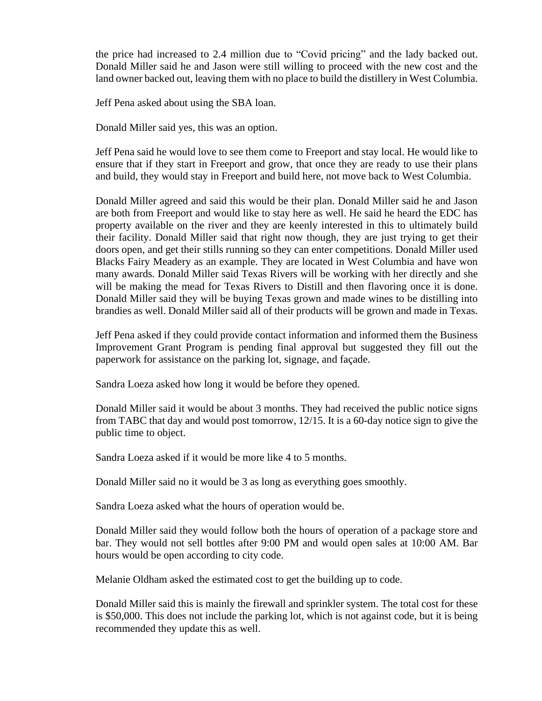the price had increased to 2.4 million due to "Covid pricing" and the lady backed out. Donald Miller said he and Jason were still willing to proceed with the new cost and the land owner backed out, leaving them with no place to build the distillery in West Columbia.

Jeff Pena asked about using the SBA loan.

Donald Miller said yes, this was an option.

Jeff Pena said he would love to see them come to Freeport and stay local. He would like to ensure that if they start in Freeport and grow, that once they are ready to use their plans and build, they would stay in Freeport and build here, not move back to West Columbia.

Donald Miller agreed and said this would be their plan. Donald Miller said he and Jason are both from Freeport and would like to stay here as well. He said he heard the EDC has property available on the river and they are keenly interested in this to ultimately build their facility. Donald Miller said that right now though, they are just trying to get their doors open, and get their stills running so they can enter competitions. Donald Miller used Blacks Fairy Meadery as an example. They are located in West Columbia and have won many awards. Donald Miller said Texas Rivers will be working with her directly and she will be making the mead for Texas Rivers to Distill and then flavoring once it is done. Donald Miller said they will be buying Texas grown and made wines to be distilling into brandies as well. Donald Miller said all of their products will be grown and made in Texas.

Jeff Pena asked if they could provide contact information and informed them the Business Improvement Grant Program is pending final approval but suggested they fill out the paperwork for assistance on the parking lot, signage, and façade.

Sandra Loeza asked how long it would be before they opened.

Donald Miller said it would be about 3 months. They had received the public notice signs from TABC that day and would post tomorrow, 12/15. It is a 60-day notice sign to give the public time to object.

Sandra Loeza asked if it would be more like 4 to 5 months.

Donald Miller said no it would be 3 as long as everything goes smoothly.

Sandra Loeza asked what the hours of operation would be.

Donald Miller said they would follow both the hours of operation of a package store and bar. They would not sell bottles after 9:00 PM and would open sales at 10:00 AM. Bar hours would be open according to city code.

Melanie Oldham asked the estimated cost to get the building up to code.

Donald Miller said this is mainly the firewall and sprinkler system. The total cost for these is \$50,000. This does not include the parking lot, which is not against code, but it is being recommended they update this as well.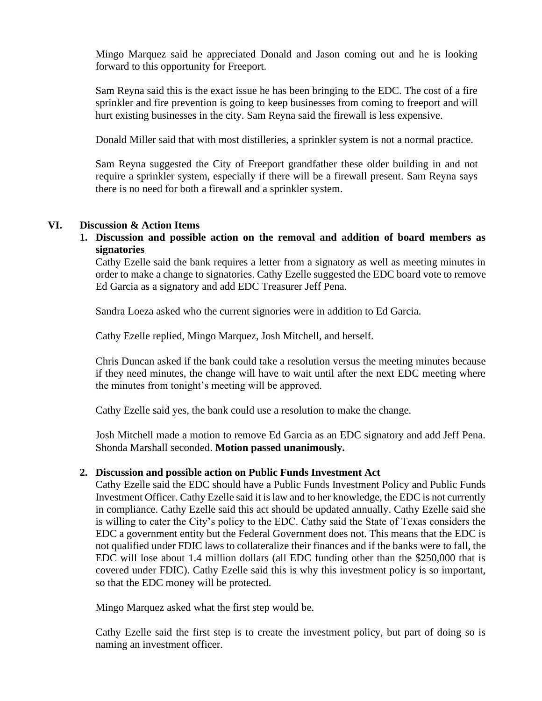Mingo Marquez said he appreciated Donald and Jason coming out and he is looking forward to this opportunity for Freeport.

Sam Reyna said this is the exact issue he has been bringing to the EDC. The cost of a fire sprinkler and fire prevention is going to keep businesses from coming to freeport and will hurt existing businesses in the city. Sam Reyna said the firewall is less expensive.

Donald Miller said that with most distilleries, a sprinkler system is not a normal practice.

Sam Reyna suggested the City of Freeport grandfather these older building in and not require a sprinkler system, especially if there will be a firewall present. Sam Reyna says there is no need for both a firewall and a sprinkler system.

### **VI. Discussion & Action Items**

**1. Discussion and possible action on the removal and addition of board members as signatories**

Cathy Ezelle said the bank requires a letter from a signatory as well as meeting minutes in order to make a change to signatories. Cathy Ezelle suggested the EDC board vote to remove Ed Garcia as a signatory and add EDC Treasurer Jeff Pena.

Sandra Loeza asked who the current signories were in addition to Ed Garcia.

Cathy Ezelle replied, Mingo Marquez, Josh Mitchell, and herself.

Chris Duncan asked if the bank could take a resolution versus the meeting minutes because if they need minutes, the change will have to wait until after the next EDC meeting where the minutes from tonight's meeting will be approved.

Cathy Ezelle said yes, the bank could use a resolution to make the change.

Josh Mitchell made a motion to remove Ed Garcia as an EDC signatory and add Jeff Pena. Shonda Marshall seconded. **Motion passed unanimously.** 

### **2. Discussion and possible action on Public Funds Investment Act**

Cathy Ezelle said the EDC should have a Public Funds Investment Policy and Public Funds Investment Officer. Cathy Ezelle said it is law and to her knowledge, the EDC is not currently in compliance. Cathy Ezelle said this act should be updated annually. Cathy Ezelle said she is willing to cater the City's policy to the EDC. Cathy said the State of Texas considers the EDC a government entity but the Federal Government does not. This means that the EDC is not qualified under FDIC laws to collateralize their finances and if the banks were to fall, the EDC will lose about 1.4 million dollars (all EDC funding other than the \$250,000 that is covered under FDIC). Cathy Ezelle said this is why this investment policy is so important, so that the EDC money will be protected.

Mingo Marquez asked what the first step would be.

Cathy Ezelle said the first step is to create the investment policy, but part of doing so is naming an investment officer.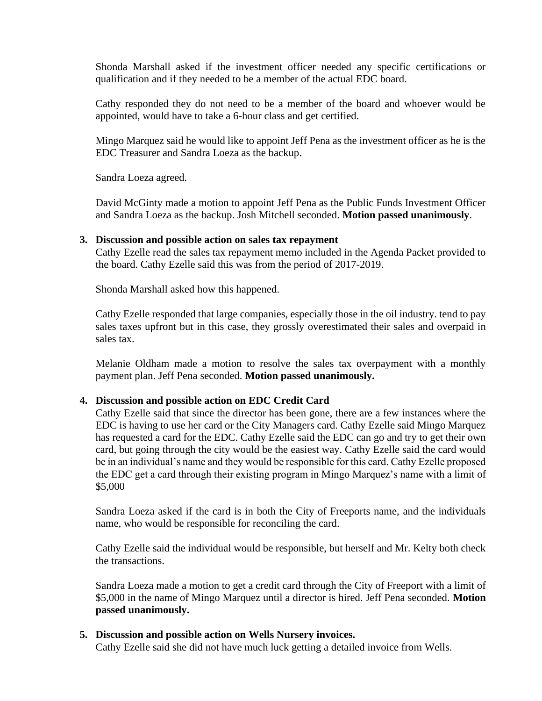Shonda Marshall asked if the investment officer needed any specific certifications or qualification and if they needed to be a member of the actual EDC board.

Cathy responded they do not need to be a member of the board and whoever would be appointed, would have to take a 6-hour class and get certified.

Mingo Marquez said he would like to appoint Jeff Pena as the investment officer as he is the EDC Treasurer and Sandra Loeza as the backup.

Sandra Loeza agreed.

David McGinty made a motion to appoint Jeff Pena as the Public Funds Investment Officer and Sandra Loeza as the backup. Josh Mitchell seconded. **Motion passed unanimously**.

#### **3. Discussion and possible action on sales tax repayment**

Cathy Ezelle read the sales tax repayment memo included in the Agenda Packet provided to the board. Cathy Ezelle said this was from the period of 2017-2019.

Shonda Marshall asked how this happened.

Cathy Ezelle responded that large companies, especially those in the oil industry. tend to pay sales taxes upfront but in this case, they grossly overestimated their sales and overpaid in sales tax.

Melanie Oldham made a motion to resolve the sales tax overpayment with a monthly payment plan. Jeff Pena seconded. **Motion passed unanimously.**

### **4. Discussion and possible action on EDC Credit Card**

Cathy Ezelle said that since the director has been gone, there are a few instances where the EDC is having to use her card or the City Managers card. Cathy Ezelle said Mingo Marquez has requested a card for the EDC. Cathy Ezelle said the EDC can go and try to get their own card, but going through the city would be the easiest way. Cathy Ezelle said the card would be in an individual's name and they would be responsible for this card. Cathy Ezelle proposed the EDC get a card through their existing program in Mingo Marquez's name with a limit of \$5,000

Sandra Loeza asked if the card is in both the City of Freeports name, and the individuals name, who would be responsible for reconciling the card.

Cathy Ezelle said the individual would be responsible, but herself and Mr. Kelty both check the transactions.

Sandra Loeza made a motion to get a credit card through the City of Freeport with a limit of \$5,000 in the name of Mingo Marquez until a director is hired. Jeff Pena seconded. **Motion passed unanimously.**

### **5. Discussion and possible action on Wells Nursery invoices.**

Cathy Ezelle said she did not have much luck getting a detailed invoice from Wells.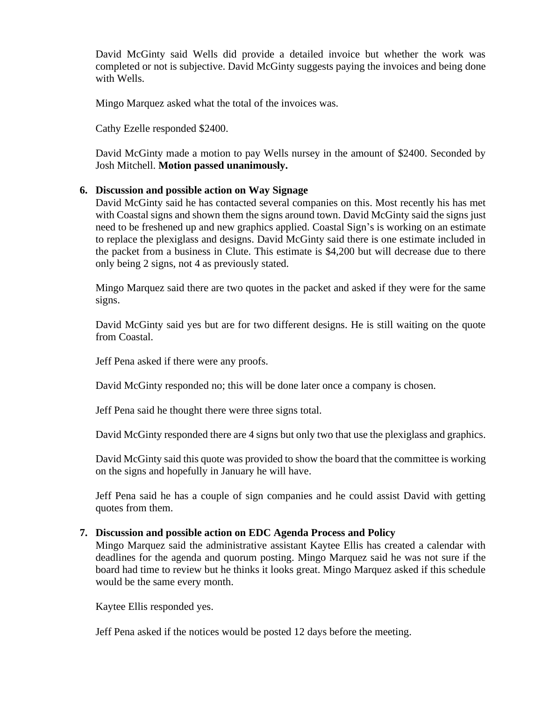David McGinty said Wells did provide a detailed invoice but whether the work was completed or not is subjective. David McGinty suggests paying the invoices and being done with Wells.

Mingo Marquez asked what the total of the invoices was.

Cathy Ezelle responded \$2400.

David McGinty made a motion to pay Wells nursey in the amount of \$2400. Seconded by Josh Mitchell. **Motion passed unanimously.**

## **6. Discussion and possible action on Way Signage**

David McGinty said he has contacted several companies on this. Most recently his has met with Coastal signs and shown them the signs around town. David McGinty said the signs just need to be freshened up and new graphics applied. Coastal Sign's is working on an estimate to replace the plexiglass and designs. David McGinty said there is one estimate included in the packet from a business in Clute. This estimate is \$4,200 but will decrease due to there only being 2 signs, not 4 as previously stated.

Mingo Marquez said there are two quotes in the packet and asked if they were for the same signs.

David McGinty said yes but are for two different designs. He is still waiting on the quote from Coastal.

Jeff Pena asked if there were any proofs.

David McGinty responded no; this will be done later once a company is chosen.

Jeff Pena said he thought there were three signs total.

David McGinty responded there are 4 signs but only two that use the plexiglass and graphics.

David McGinty said this quote was provided to show the board that the committee is working on the signs and hopefully in January he will have.

Jeff Pena said he has a couple of sign companies and he could assist David with getting quotes from them.

### **7. Discussion and possible action on EDC Agenda Process and Policy**

Mingo Marquez said the administrative assistant Kaytee Ellis has created a calendar with deadlines for the agenda and quorum posting. Mingo Marquez said he was not sure if the board had time to review but he thinks it looks great. Mingo Marquez asked if this schedule would be the same every month.

Kaytee Ellis responded yes.

Jeff Pena asked if the notices would be posted 12 days before the meeting.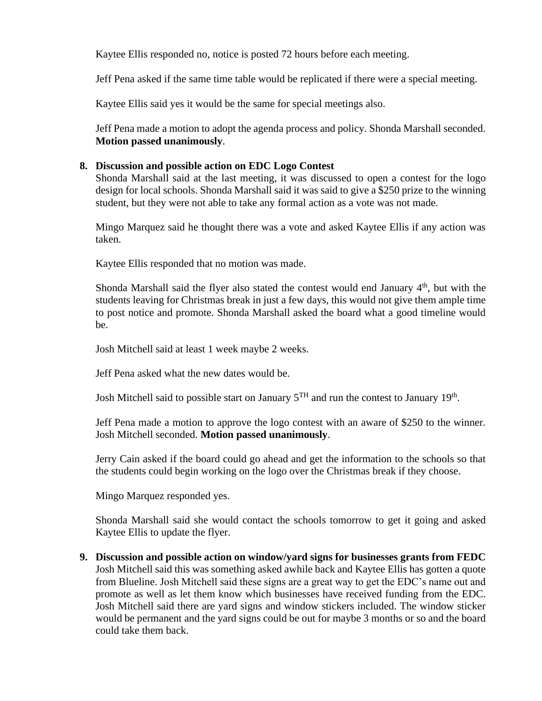Kaytee Ellis responded no, notice is posted 72 hours before each meeting.

Jeff Pena asked if the same time table would be replicated if there were a special meeting.

Kaytee Ellis said yes it would be the same for special meetings also.

Jeff Pena made a motion to adopt the agenda process and policy. Shonda Marshall seconded. **Motion passed unanimously**.

## **8. Discussion and possible action on EDC Logo Contest**

Shonda Marshall said at the last meeting, it was discussed to open a contest for the logo design for local schools. Shonda Marshall said it was said to give a \$250 prize to the winning student, but they were not able to take any formal action as a vote was not made.

Mingo Marquez said he thought there was a vote and asked Kaytee Ellis if any action was taken.

Kaytee Ellis responded that no motion was made.

Shonda Marshall said the flyer also stated the contest would end January  $4<sup>th</sup>$ , but with the students leaving for Christmas break in just a few days, this would not give them ample time to post notice and promote. Shonda Marshall asked the board what a good timeline would be.

Josh Mitchell said at least 1 week maybe 2 weeks.

Jeff Pena asked what the new dates would be.

Josh Mitchell said to possible start on January  $5^{TH}$  and run the contest to January 19<sup>th</sup>.

Jeff Pena made a motion to approve the logo contest with an aware of \$250 to the winner. Josh Mitchell seconded. **Motion passed unanimously**.

Jerry Cain asked if the board could go ahead and get the information to the schools so that the students could begin working on the logo over the Christmas break if they choose.

Mingo Marquez responded yes.

Shonda Marshall said she would contact the schools tomorrow to get it going and asked Kaytee Ellis to update the flyer.

**9. Discussion and possible action on window/yard signs for businesses grants from FEDC**  Josh Mitchell said this was something asked awhile back and Kaytee Ellis has gotten a quote from Blueline. Josh Mitchell said these signs are a great way to get the EDC's name out and promote as well as let them know which businesses have received funding from the EDC. Josh Mitchell said there are yard signs and window stickers included. The window sticker would be permanent and the yard signs could be out for maybe 3 months or so and the board could take them back.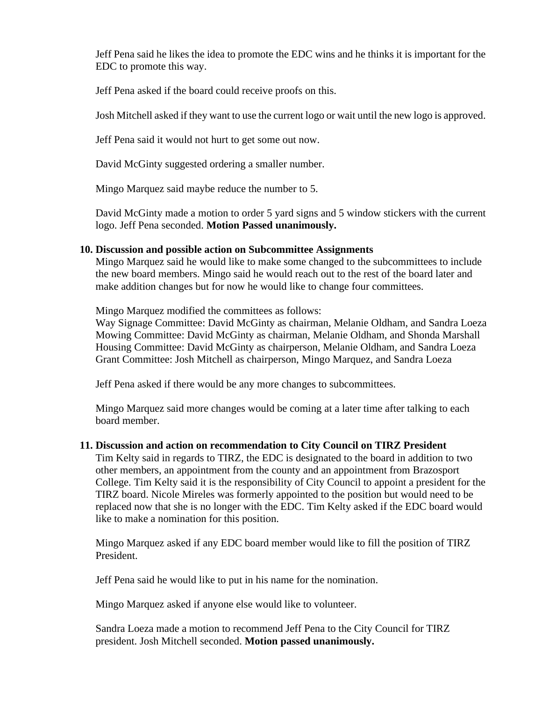Jeff Pena said he likes the idea to promote the EDC wins and he thinks it is important for the EDC to promote this way.

Jeff Pena asked if the board could receive proofs on this.

Josh Mitchell asked if they want to use the current logo or wait until the new logo is approved.

Jeff Pena said it would not hurt to get some out now.

David McGinty suggested ordering a smaller number.

Mingo Marquez said maybe reduce the number to 5.

David McGinty made a motion to order 5 yard signs and 5 window stickers with the current logo. Jeff Pena seconded. **Motion Passed unanimously.**

### **10. Discussion and possible action on Subcommittee Assignments**

Mingo Marquez said he would like to make some changed to the subcommittees to include the new board members. Mingo said he would reach out to the rest of the board later and make addition changes but for now he would like to change four committees.

Mingo Marquez modified the committees as follows:

Way Signage Committee: David McGinty as chairman, Melanie Oldham, and Sandra Loeza Mowing Committee: David McGinty as chairman, Melanie Oldham, and Shonda Marshall Housing Committee: David McGinty as chairperson, Melanie Oldham, and Sandra Loeza Grant Committee: Josh Mitchell as chairperson, Mingo Marquez, and Sandra Loeza

Jeff Pena asked if there would be any more changes to subcommittees.

Mingo Marquez said more changes would be coming at a later time after talking to each board member.

### **11. Discussion and action on recommendation to City Council on TIRZ President**

Tim Kelty said in regards to TIRZ, the EDC is designated to the board in addition to two other members, an appointment from the county and an appointment from Brazosport College. Tim Kelty said it is the responsibility of City Council to appoint a president for the TIRZ board. Nicole Mireles was formerly appointed to the position but would need to be replaced now that she is no longer with the EDC. Tim Kelty asked if the EDC board would like to make a nomination for this position.

Mingo Marquez asked if any EDC board member would like to fill the position of TIRZ President.

Jeff Pena said he would like to put in his name for the nomination.

Mingo Marquez asked if anyone else would like to volunteer.

Sandra Loeza made a motion to recommend Jeff Pena to the City Council for TIRZ president. Josh Mitchell seconded. **Motion passed unanimously.**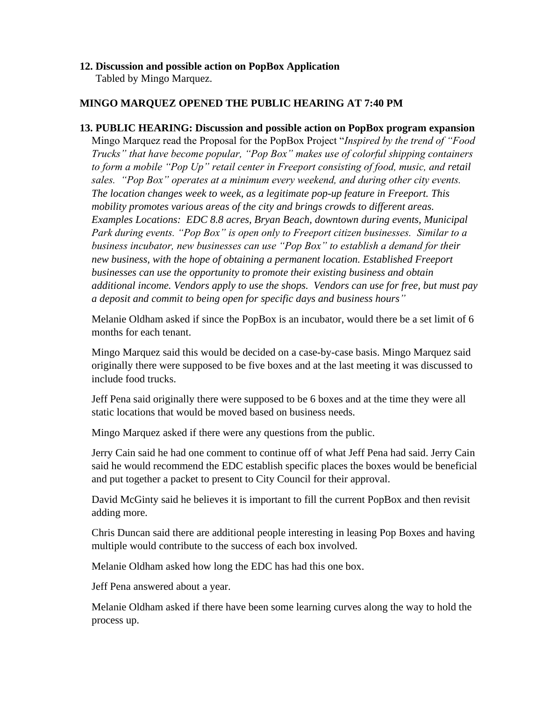# **12. Discussion and possible action on PopBox Application**

Tabled by Mingo Marquez.

# **MINGO MARQUEZ OPENED THE PUBLIC HEARING AT 7:40 PM**

**13. PUBLIC HEARING: Discussion and possible action on PopBox program expansion** Mingo Marquez read the Proposal for the PopBox Project "*Inspired by the trend of "Food Trucks" that have become popular, "Pop Box" makes use of colorful shipping containers to form a mobile "Pop Up" retail center in Freeport consisting of food, music, and retail sales. "Pop Box" operates at a minimum every weekend, and during other city events. The location changes week to week, as a legitimate pop-up feature in Freeport. This mobility promotes various areas of the city and brings crowds to different areas. Examples Locations: EDC 8.8 acres, Bryan Beach, downtown during events, Municipal Park during events. "Pop Box" is open only to Freeport citizen businesses. Similar to a business incubator, new businesses can use "Pop Box" to establish a demand for their new business, with the hope of obtaining a permanent location. Established Freeport businesses can use the opportunity to promote their existing business and obtain additional income. Vendors apply to use the shops. Vendors can use for free, but must pay a deposit and commit to being open for specific days and business hours"*

Melanie Oldham asked if since the PopBox is an incubator, would there be a set limit of 6 months for each tenant.

Mingo Marquez said this would be decided on a case-by-case basis. Mingo Marquez said originally there were supposed to be five boxes and at the last meeting it was discussed to include food trucks.

Jeff Pena said originally there were supposed to be 6 boxes and at the time they were all static locations that would be moved based on business needs.

Mingo Marquez asked if there were any questions from the public.

Jerry Cain said he had one comment to continue off of what Jeff Pena had said. Jerry Cain said he would recommend the EDC establish specific places the boxes would be beneficial and put together a packet to present to City Council for their approval.

David McGinty said he believes it is important to fill the current PopBox and then revisit adding more.

Chris Duncan said there are additional people interesting in leasing Pop Boxes and having multiple would contribute to the success of each box involved.

Melanie Oldham asked how long the EDC has had this one box.

Jeff Pena answered about a year.

Melanie Oldham asked if there have been some learning curves along the way to hold the process up.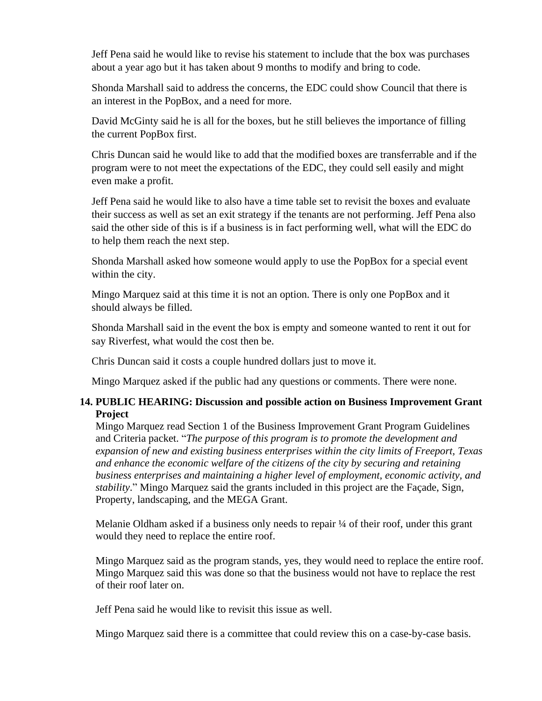Jeff Pena said he would like to revise his statement to include that the box was purchases about a year ago but it has taken about 9 months to modify and bring to code.

Shonda Marshall said to address the concerns, the EDC could show Council that there is an interest in the PopBox, and a need for more.

David McGinty said he is all for the boxes, but he still believes the importance of filling the current PopBox first.

Chris Duncan said he would like to add that the modified boxes are transferrable and if the program were to not meet the expectations of the EDC, they could sell easily and might even make a profit.

Jeff Pena said he would like to also have a time table set to revisit the boxes and evaluate their success as well as set an exit strategy if the tenants are not performing. Jeff Pena also said the other side of this is if a business is in fact performing well, what will the EDC do to help them reach the next step.

Shonda Marshall asked how someone would apply to use the PopBox for a special event within the city.

Mingo Marquez said at this time it is not an option. There is only one PopBox and it should always be filled.

Shonda Marshall said in the event the box is empty and someone wanted to rent it out for say Riverfest, what would the cost then be.

Chris Duncan said it costs a couple hundred dollars just to move it.

Mingo Marquez asked if the public had any questions or comments. There were none.

# **14. PUBLIC HEARING: Discussion and possible action on Business Improvement Grant Project**

Mingo Marquez read Section 1 of the Business Improvement Grant Program Guidelines and Criteria packet. "*The purpose of this program is to promote the development and expansion of new and existing business enterprises within the city limits of Freeport, Texas and enhance the economic welfare of the citizens of the city by securing and retaining business enterprises and maintaining a higher level of employment, economic activity, and stability*." Mingo Marquez said the grants included in this project are the Façade, Sign, Property, landscaping, and the MEGA Grant.

Melanie Oldham asked if a business only needs to repair <sup>1</sup>/4 of their roof, under this grant would they need to replace the entire roof.

Mingo Marquez said as the program stands, yes, they would need to replace the entire roof. Mingo Marquez said this was done so that the business would not have to replace the rest of their roof later on.

Jeff Pena said he would like to revisit this issue as well.

Mingo Marquez said there is a committee that could review this on a case-by-case basis.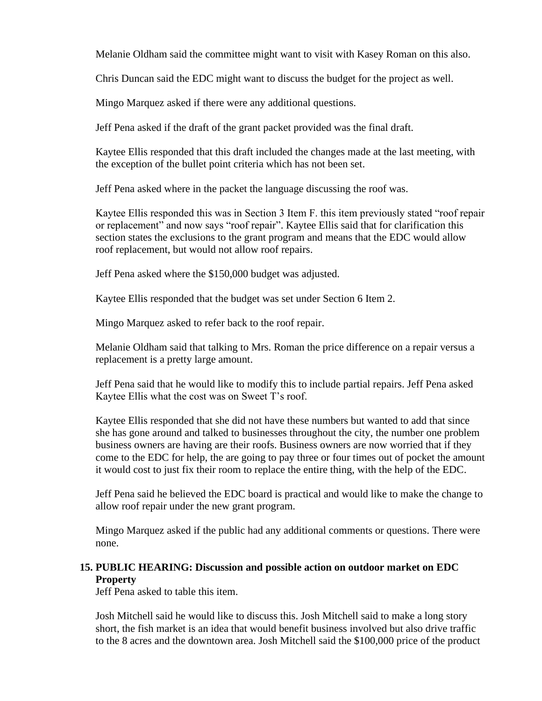Melanie Oldham said the committee might want to visit with Kasey Roman on this also.

Chris Duncan said the EDC might want to discuss the budget for the project as well.

Mingo Marquez asked if there were any additional questions.

Jeff Pena asked if the draft of the grant packet provided was the final draft.

Kaytee Ellis responded that this draft included the changes made at the last meeting, with the exception of the bullet point criteria which has not been set.

Jeff Pena asked where in the packet the language discussing the roof was.

Kaytee Ellis responded this was in Section 3 Item F. this item previously stated "roof repair or replacement" and now says "roof repair". Kaytee Ellis said that for clarification this section states the exclusions to the grant program and means that the EDC would allow roof replacement, but would not allow roof repairs.

Jeff Pena asked where the \$150,000 budget was adjusted.

Kaytee Ellis responded that the budget was set under Section 6 Item 2.

Mingo Marquez asked to refer back to the roof repair.

Melanie Oldham said that talking to Mrs. Roman the price difference on a repair versus a replacement is a pretty large amount.

Jeff Pena said that he would like to modify this to include partial repairs. Jeff Pena asked Kaytee Ellis what the cost was on Sweet T's roof.

Kaytee Ellis responded that she did not have these numbers but wanted to add that since she has gone around and talked to businesses throughout the city, the number one problem business owners are having are their roofs. Business owners are now worried that if they come to the EDC for help, the are going to pay three or four times out of pocket the amount it would cost to just fix their room to replace the entire thing, with the help of the EDC.

Jeff Pena said he believed the EDC board is practical and would like to make the change to allow roof repair under the new grant program.

Mingo Marquez asked if the public had any additional comments or questions. There were none.

# **15. PUBLIC HEARING: Discussion and possible action on outdoor market on EDC Property**

Jeff Pena asked to table this item.

Josh Mitchell said he would like to discuss this. Josh Mitchell said to make a long story short, the fish market is an idea that would benefit business involved but also drive traffic to the 8 acres and the downtown area. Josh Mitchell said the \$100,000 price of the product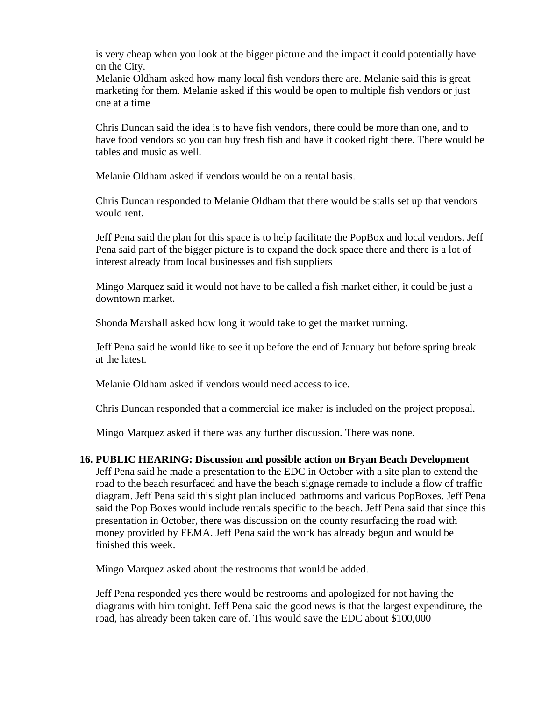is very cheap when you look at the bigger picture and the impact it could potentially have on the City.

Melanie Oldham asked how many local fish vendors there are. Melanie said this is great marketing for them. Melanie asked if this would be open to multiple fish vendors or just one at a time

Chris Duncan said the idea is to have fish vendors, there could be more than one, and to have food vendors so you can buy fresh fish and have it cooked right there. There would be tables and music as well.

Melanie Oldham asked if vendors would be on a rental basis.

Chris Duncan responded to Melanie Oldham that there would be stalls set up that vendors would rent.

Jeff Pena said the plan for this space is to help facilitate the PopBox and local vendors. Jeff Pena said part of the bigger picture is to expand the dock space there and there is a lot of interest already from local businesses and fish suppliers

Mingo Marquez said it would not have to be called a fish market either, it could be just a downtown market.

Shonda Marshall asked how long it would take to get the market running.

Jeff Pena said he would like to see it up before the end of January but before spring break at the latest.

Melanie Oldham asked if vendors would need access to ice.

Chris Duncan responded that a commercial ice maker is included on the project proposal.

Mingo Marquez asked if there was any further discussion. There was none.

### **16. PUBLIC HEARING: Discussion and possible action on Bryan Beach Development**

Jeff Pena said he made a presentation to the EDC in October with a site plan to extend the road to the beach resurfaced and have the beach signage remade to include a flow of traffic diagram. Jeff Pena said this sight plan included bathrooms and various PopBoxes. Jeff Pena said the Pop Boxes would include rentals specific to the beach. Jeff Pena said that since this presentation in October, there was discussion on the county resurfacing the road with money provided by FEMA. Jeff Pena said the work has already begun and would be finished this week.

Mingo Marquez asked about the restrooms that would be added.

Jeff Pena responded yes there would be restrooms and apologized for not having the diagrams with him tonight. Jeff Pena said the good news is that the largest expenditure, the road, has already been taken care of. This would save the EDC about \$100,000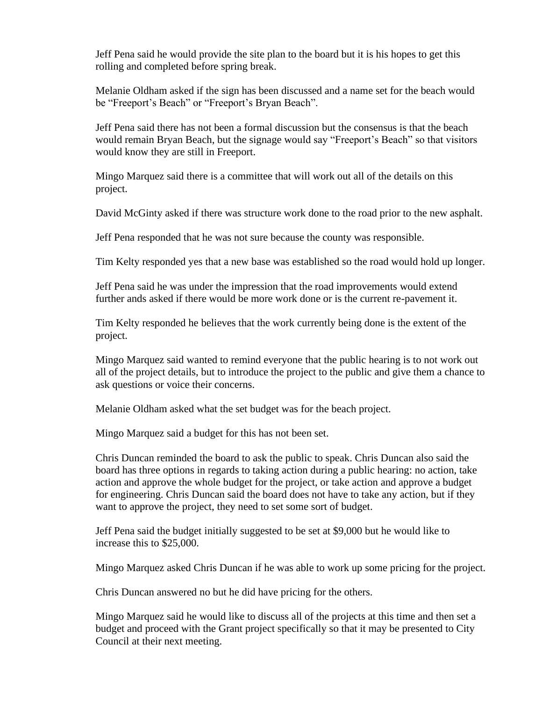Jeff Pena said he would provide the site plan to the board but it is his hopes to get this rolling and completed before spring break.

Melanie Oldham asked if the sign has been discussed and a name set for the beach would be "Freeport's Beach" or "Freeport's Bryan Beach".

Jeff Pena said there has not been a formal discussion but the consensus is that the beach would remain Bryan Beach, but the signage would say "Freeport's Beach" so that visitors would know they are still in Freeport.

Mingo Marquez said there is a committee that will work out all of the details on this project.

David McGinty asked if there was structure work done to the road prior to the new asphalt.

Jeff Pena responded that he was not sure because the county was responsible.

Tim Kelty responded yes that a new base was established so the road would hold up longer.

Jeff Pena said he was under the impression that the road improvements would extend further ands asked if there would be more work done or is the current re-pavement it.

Tim Kelty responded he believes that the work currently being done is the extent of the project.

Mingo Marquez said wanted to remind everyone that the public hearing is to not work out all of the project details, but to introduce the project to the public and give them a chance to ask questions or voice their concerns.

Melanie Oldham asked what the set budget was for the beach project.

Mingo Marquez said a budget for this has not been set.

Chris Duncan reminded the board to ask the public to speak. Chris Duncan also said the board has three options in regards to taking action during a public hearing: no action, take action and approve the whole budget for the project, or take action and approve a budget for engineering. Chris Duncan said the board does not have to take any action, but if they want to approve the project, they need to set some sort of budget.

Jeff Pena said the budget initially suggested to be set at \$9,000 but he would like to increase this to \$25,000.

Mingo Marquez asked Chris Duncan if he was able to work up some pricing for the project.

Chris Duncan answered no but he did have pricing for the others.

Mingo Marquez said he would like to discuss all of the projects at this time and then set a budget and proceed with the Grant project specifically so that it may be presented to City Council at their next meeting.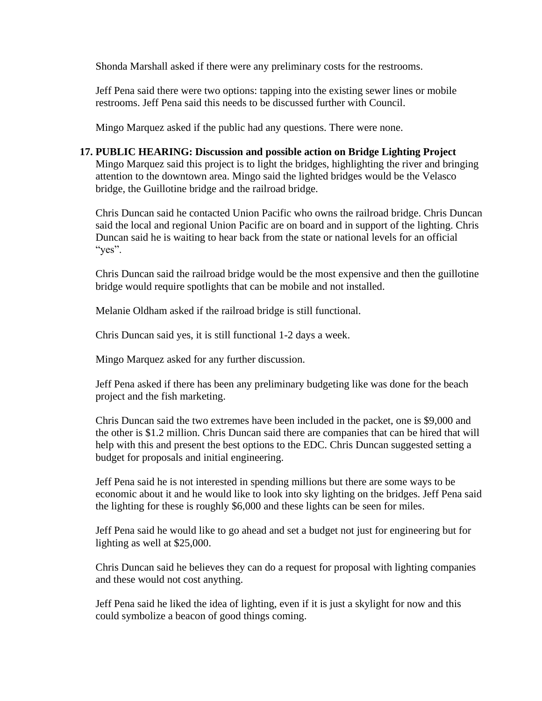Shonda Marshall asked if there were any preliminary costs for the restrooms.

Jeff Pena said there were two options: tapping into the existing sewer lines or mobile restrooms. Jeff Pena said this needs to be discussed further with Council.

Mingo Marquez asked if the public had any questions. There were none.

### **17. PUBLIC HEARING: Discussion and possible action on Bridge Lighting Project**

Mingo Marquez said this project is to light the bridges, highlighting the river and bringing attention to the downtown area. Mingo said the lighted bridges would be the Velasco bridge, the Guillotine bridge and the railroad bridge.

Chris Duncan said he contacted Union Pacific who owns the railroad bridge. Chris Duncan said the local and regional Union Pacific are on board and in support of the lighting. Chris Duncan said he is waiting to hear back from the state or national levels for an official "yes".

Chris Duncan said the railroad bridge would be the most expensive and then the guillotine bridge would require spotlights that can be mobile and not installed.

Melanie Oldham asked if the railroad bridge is still functional.

Chris Duncan said yes, it is still functional 1-2 days a week.

Mingo Marquez asked for any further discussion.

Jeff Pena asked if there has been any preliminary budgeting like was done for the beach project and the fish marketing.

Chris Duncan said the two extremes have been included in the packet, one is \$9,000 and the other is \$1.2 million. Chris Duncan said there are companies that can be hired that will help with this and present the best options to the EDC. Chris Duncan suggested setting a budget for proposals and initial engineering.

Jeff Pena said he is not interested in spending millions but there are some ways to be economic about it and he would like to look into sky lighting on the bridges. Jeff Pena said the lighting for these is roughly \$6,000 and these lights can be seen for miles.

Jeff Pena said he would like to go ahead and set a budget not just for engineering but for lighting as well at \$25,000.

Chris Duncan said he believes they can do a request for proposal with lighting companies and these would not cost anything.

Jeff Pena said he liked the idea of lighting, even if it is just a skylight for now and this could symbolize a beacon of good things coming.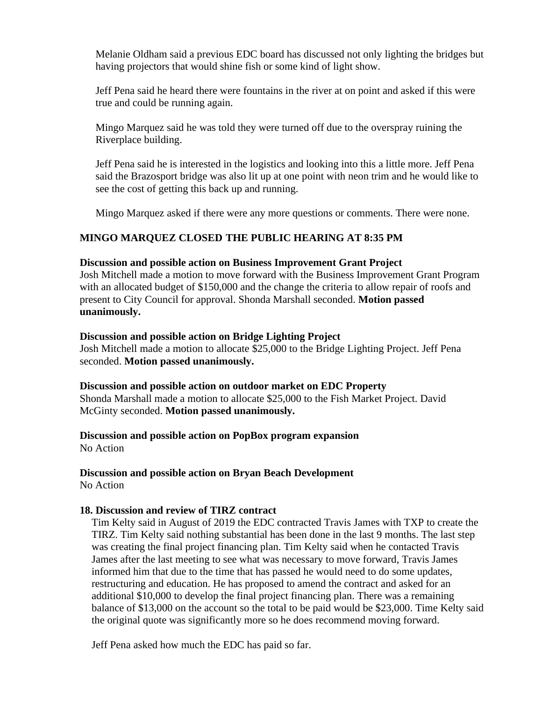Melanie Oldham said a previous EDC board has discussed not only lighting the bridges but having projectors that would shine fish or some kind of light show.

Jeff Pena said he heard there were fountains in the river at on point and asked if this were true and could be running again.

Mingo Marquez said he was told they were turned off due to the overspray ruining the Riverplace building.

Jeff Pena said he is interested in the logistics and looking into this a little more. Jeff Pena said the Brazosport bridge was also lit up at one point with neon trim and he would like to see the cost of getting this back up and running.

Mingo Marquez asked if there were any more questions or comments. There were none.

# **MINGO MARQUEZ CLOSED THE PUBLIC HEARING AT 8:35 PM**

### **Discussion and possible action on Business Improvement Grant Project**

Josh Mitchell made a motion to move forward with the Business Improvement Grant Program with an allocated budget of \$150,000 and the change the criteria to allow repair of roofs and present to City Council for approval. Shonda Marshall seconded. **Motion passed unanimously.**

### **Discussion and possible action on Bridge Lighting Project**

Josh Mitchell made a motion to allocate \$25,000 to the Bridge Lighting Project. Jeff Pena seconded. **Motion passed unanimously.**

### **Discussion and possible action on outdoor market on EDC Property**

Shonda Marshall made a motion to allocate \$25,000 to the Fish Market Project. David McGinty seconded. **Motion passed unanimously.**

# **Discussion and possible action on PopBox program expansion**

No Action

# **Discussion and possible action on Bryan Beach Development**

No Action

### **18. Discussion and review of TIRZ contract**

Tim Kelty said in August of 2019 the EDC contracted Travis James with TXP to create the TIRZ. Tim Kelty said nothing substantial has been done in the last 9 months. The last step was creating the final project financing plan. Tim Kelty said when he contacted Travis James after the last meeting to see what was necessary to move forward, Travis James informed him that due to the time that has passed he would need to do some updates, restructuring and education. He has proposed to amend the contract and asked for an additional \$10,000 to develop the final project financing plan. There was a remaining balance of \$13,000 on the account so the total to be paid would be \$23,000. Time Kelty said the original quote was significantly more so he does recommend moving forward.

Jeff Pena asked how much the EDC has paid so far.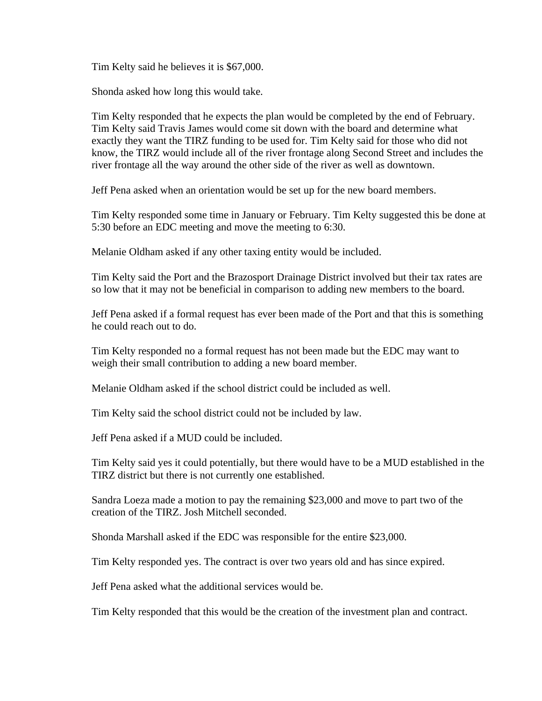Tim Kelty said he believes it is \$67,000.

Shonda asked how long this would take.

Tim Kelty responded that he expects the plan would be completed by the end of February. Tim Kelty said Travis James would come sit down with the board and determine what exactly they want the TIRZ funding to be used for. Tim Kelty said for those who did not know, the TIRZ would include all of the river frontage along Second Street and includes the river frontage all the way around the other side of the river as well as downtown.

Jeff Pena asked when an orientation would be set up for the new board members.

Tim Kelty responded some time in January or February. Tim Kelty suggested this be done at 5:30 before an EDC meeting and move the meeting to 6:30.

Melanie Oldham asked if any other taxing entity would be included.

Tim Kelty said the Port and the Brazosport Drainage District involved but their tax rates are so low that it may not be beneficial in comparison to adding new members to the board.

Jeff Pena asked if a formal request has ever been made of the Port and that this is something he could reach out to do.

Tim Kelty responded no a formal request has not been made but the EDC may want to weigh their small contribution to adding a new board member.

Melanie Oldham asked if the school district could be included as well.

Tim Kelty said the school district could not be included by law.

Jeff Pena asked if a MUD could be included.

Tim Kelty said yes it could potentially, but there would have to be a MUD established in the TIRZ district but there is not currently one established.

Sandra Loeza made a motion to pay the remaining \$23,000 and move to part two of the creation of the TIRZ. Josh Mitchell seconded.

Shonda Marshall asked if the EDC was responsible for the entire \$23,000.

Tim Kelty responded yes. The contract is over two years old and has since expired.

Jeff Pena asked what the additional services would be.

Tim Kelty responded that this would be the creation of the investment plan and contract.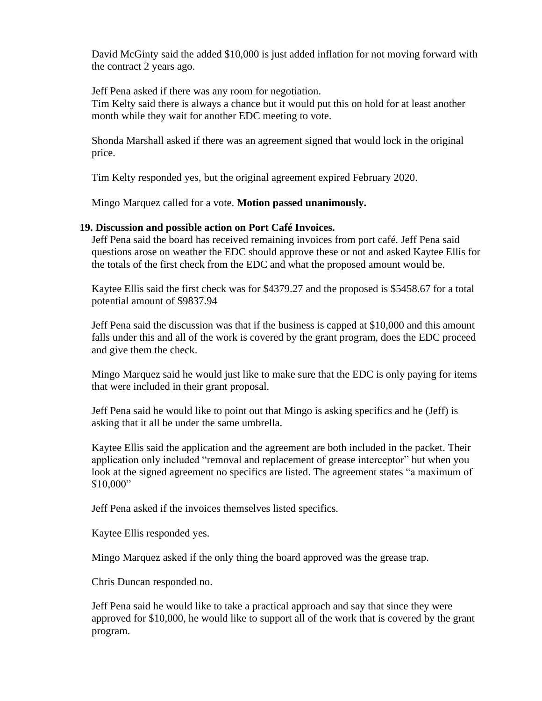David McGinty said the added \$10,000 is just added inflation for not moving forward with the contract 2 years ago.

Jeff Pena asked if there was any room for negotiation.

Tim Kelty said there is always a chance but it would put this on hold for at least another month while they wait for another EDC meeting to vote.

Shonda Marshall asked if there was an agreement signed that would lock in the original price.

Tim Kelty responded yes, but the original agreement expired February 2020.

Mingo Marquez called for a vote. **Motion passed unanimously.**

## **19. Discussion and possible action on Port Café Invoices.**

Jeff Pena said the board has received remaining invoices from port café. Jeff Pena said questions arose on weather the EDC should approve these or not and asked Kaytee Ellis for the totals of the first check from the EDC and what the proposed amount would be.

Kaytee Ellis said the first check was for \$4379.27 and the proposed is \$5458.67 for a total potential amount of \$9837.94

Jeff Pena said the discussion was that if the business is capped at \$10,000 and this amount falls under this and all of the work is covered by the grant program, does the EDC proceed and give them the check.

Mingo Marquez said he would just like to make sure that the EDC is only paying for items that were included in their grant proposal.

Jeff Pena said he would like to point out that Mingo is asking specifics and he (Jeff) is asking that it all be under the same umbrella.

Kaytee Ellis said the application and the agreement are both included in the packet. Their application only included "removal and replacement of grease interceptor" but when you look at the signed agreement no specifics are listed. The agreement states "a maximum of \$10,000"

Jeff Pena asked if the invoices themselves listed specifics.

Kaytee Ellis responded yes.

Mingo Marquez asked if the only thing the board approved was the grease trap.

Chris Duncan responded no.

Jeff Pena said he would like to take a practical approach and say that since they were approved for \$10,000, he would like to support all of the work that is covered by the grant program.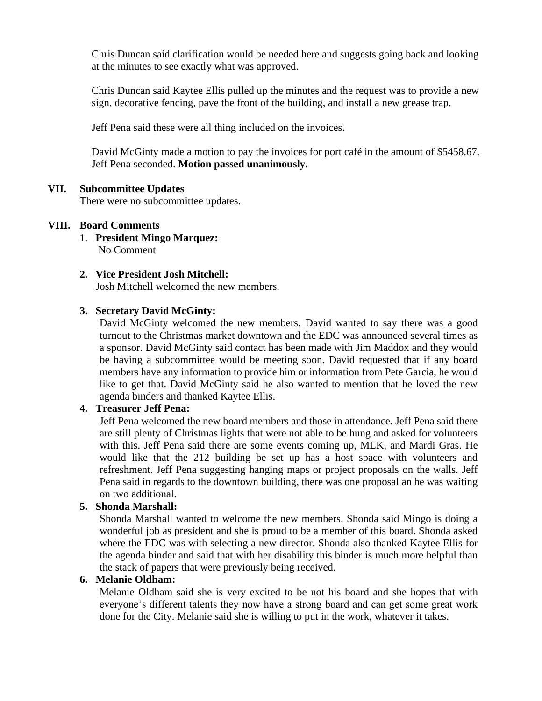Chris Duncan said clarification would be needed here and suggests going back and looking at the minutes to see exactly what was approved.

Chris Duncan said Kaytee Ellis pulled up the minutes and the request was to provide a new sign, decorative fencing, pave the front of the building, and install a new grease trap.

Jeff Pena said these were all thing included on the invoices.

David McGinty made a motion to pay the invoices for port café in the amount of \$5458.67. Jeff Pena seconded. **Motion passed unanimously.**

### **VII. Subcommittee Updates**

There were no subcommittee updates.

### **VIII. Board Comments**

1. **President Mingo Marquez:** No Comment

# **2. Vice President Josh Mitchell:**

Josh Mitchell welcomed the new members.

## **3. Secretary David McGinty:**

David McGinty welcomed the new members. David wanted to say there was a good turnout to the Christmas market downtown and the EDC was announced several times as a sponsor. David McGinty said contact has been made with Jim Maddox and they would be having a subcommittee would be meeting soon. David requested that if any board members have any information to provide him or information from Pete Garcia, he would like to get that. David McGinty said he also wanted to mention that he loved the new agenda binders and thanked Kaytee Ellis.

# **4. Treasurer Jeff Pena:**

Jeff Pena welcomed the new board members and those in attendance. Jeff Pena said there are still plenty of Christmas lights that were not able to be hung and asked for volunteers with this. Jeff Pena said there are some events coming up, MLK, and Mardi Gras. He would like that the 212 building be set up has a host space with volunteers and refreshment. Jeff Pena suggesting hanging maps or project proposals on the walls. Jeff Pena said in regards to the downtown building, there was one proposal an he was waiting on two additional.

# **5. Shonda Marshall:**

Shonda Marshall wanted to welcome the new members. Shonda said Mingo is doing a wonderful job as president and she is proud to be a member of this board. Shonda asked where the EDC was with selecting a new director. Shonda also thanked Kaytee Ellis for the agenda binder and said that with her disability this binder is much more helpful than the stack of papers that were previously being received.

## **6. Melanie Oldham:**

Melanie Oldham said she is very excited to be not his board and she hopes that with everyone's different talents they now have a strong board and can get some great work done for the City. Melanie said she is willing to put in the work, whatever it takes.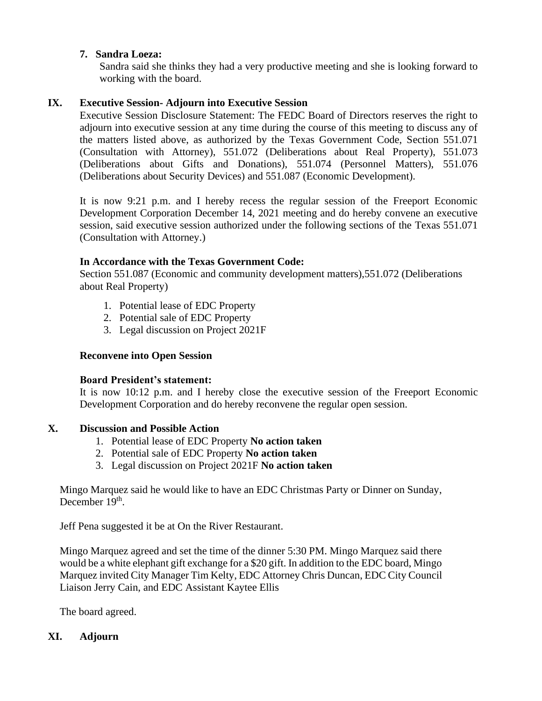# **7. Sandra Loeza:**

Sandra said she thinks they had a very productive meeting and she is looking forward to working with the board.

# **IX. Executive Session- Adjourn into Executive Session**

Executive Session Disclosure Statement: The FEDC Board of Directors reserves the right to adjourn into executive session at any time during the course of this meeting to discuss any of the matters listed above, as authorized by the Texas Government Code, Section 551.071 (Consultation with Attorney), 551.072 (Deliberations about Real Property), 551.073 (Deliberations about Gifts and Donations), 551.074 (Personnel Matters), 551.076 (Deliberations about Security Devices) and 551.087 (Economic Development).

It is now 9:21 p.m. and I hereby recess the regular session of the Freeport Economic Development Corporation December 14, 2021 meeting and do hereby convene an executive session, said executive session authorized under the following sections of the Texas 551.071 (Consultation with Attorney.)

## **In Accordance with the Texas Government Code:**

Section 551.087 (Economic and community development matters),551.072 (Deliberations about Real Property)

- 1. Potential lease of EDC Property
- 2. Potential sale of EDC Property
- 3. Legal discussion on Project 2021F

## **Reconvene into Open Session**

### **Board President's statement:**

It is now 10:12 p.m. and I hereby close the executive session of the Freeport Economic Development Corporation and do hereby reconvene the regular open session.

## **X. Discussion and Possible Action**

- 1. Potential lease of EDC Property **No action taken**
- 2. Potential sale of EDC Property **No action taken**
- 3. Legal discussion on Project 2021F **No action taken**

Mingo Marquez said he would like to have an EDC Christmas Party or Dinner on Sunday, December 19<sup>th</sup>.

Jeff Pena suggested it be at On the River Restaurant.

Mingo Marquez agreed and set the time of the dinner 5:30 PM. Mingo Marquez said there would be a white elephant gift exchange for a \$20 gift. In addition to the EDC board, Mingo Marquez invited City Manager Tim Kelty, EDC Attorney Chris Duncan, EDC City Council Liaison Jerry Cain, and EDC Assistant Kaytee Ellis

The board agreed.

# **XI. Adjourn**